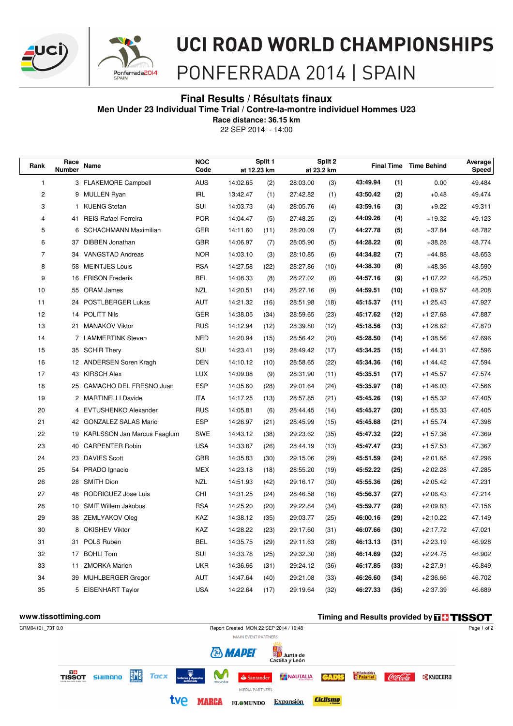



## **UCI ROAD WORLD CHAMPIONSHIPS**

## PONFERRADA 2014 | SPAIN

#### **Final Results / Résultats finaux**

**Men Under 23 Individual Time Trial / Contre-la-montre individuel Hommes U23**

22 SEP 2014 - 14:00 **Race distance: 36.15 km**

| Race<br>Rank<br><b>Number</b> |              | Name                         | <b>NOC</b><br>Code | Split 1<br>at 12.23 km |      | Split 2<br>at 23.2 km |      |          |      | <b>Final Time Time Behind</b> | Average<br>Speed |
|-------------------------------|--------------|------------------------------|--------------------|------------------------|------|-----------------------|------|----------|------|-------------------------------|------------------|
| 1                             |              | 3 FLAKEMORE Campbell         | AUS                | 14:02.65               | (2)  | 28:03.00              | (3)  | 43:49.94 | (1)  | 0.00                          | 49.484           |
| $\overline{c}$                |              | 9 MULLEN Ryan                | <b>IRL</b>         | 13:42.47               | (1)  | 27:42.82              | (1)  | 43:50.42 | (2)  | $+0.48$                       | 49.474           |
| 3                             | $\mathbf{1}$ | <b>KUENG Stefan</b>          | SUI                | 14:03.73               | (4)  | 28:05.76              | (4)  | 43:59.16 | (3)  | $+9.22$                       | 49.311           |
| 4                             | 41           | <b>REIS Rafael Ferreira</b>  | <b>POR</b>         | 14:04.47               | (5)  | 27:48.25              | (2)  | 44:09.26 | (4)  | $+19.32$                      | 49.123           |
| 5                             | 6            | <b>SCHACHMANN Maximilian</b> | <b>GER</b>         | 14:11.60               | (11) | 28:20.09              | (7)  | 44:27.78 | (5)  | $+37.84$                      | 48.782           |
| 6                             | 37           | <b>DIBBEN Jonathan</b>       | <b>GBR</b>         | 14:06.97               | (7)  | 28:05.90              | (5)  | 44:28.22 | (6)  | $+38.28$                      | 48.774           |
| $\overline{7}$                | 34           | <b>VANGSTAD Andreas</b>      | <b>NOR</b>         | 14:03.10               | (3)  | 28:10.85              | (6)  | 44:34.82 | (7)  | $+44.88$                      | 48.653           |
| 8                             | 58           | <b>MEINTJES Louis</b>        | <b>RSA</b>         | 14:27.58               | (22) | 28:27.86              | (10) | 44:38.30 | (8)  | $+48.36$                      | 48.590           |
| 9                             | 16           | <b>FRISON Frederik</b>       | <b>BEL</b>         | 14:08.33               | (8)  | 28:27.02              | (8)  | 44:57.16 | (9)  | $+1:07.22$                    | 48.250           |
| 10                            | 55           | <b>ORAM James</b>            | <b>NZL</b>         | 14:20.51               | (14) | 28:27.16              | (9)  | 44:59.51 | (10) | $+1:09.57$                    | 48.208           |
| 11                            | 24           | POSTLBERGER Lukas            | <b>AUT</b>         | 14:21.32               | (16) | 28:51.98              | (18) | 45:15.37 | (11) | $+1:25.43$                    | 47.927           |
| 12                            | 14           | <b>POLITT Nils</b>           | <b>GER</b>         | 14:38.05               | (34) | 28:59.65              | (23) | 45:17.62 | (12) | $+1:27.68$                    | 47.887           |
| 13                            | 21           | <b>MANAKOV Viktor</b>        | <b>RUS</b>         | 14:12.94               | (12) | 28:39.80              | (12) | 45:18.56 | (13) | $+1:28.62$                    | 47.870           |
| 14                            |              | 7 LAMMERTINK Steven          | <b>NED</b>         | 14:20.94               | (15) | 28:56.42              | (20) | 45:28.50 | (14) | $+1:38.56$                    | 47.696           |
| 15                            | 35           | <b>SCHIR Thery</b>           | SUI                | 14:23.41               | (19) | 28:49.42              | (17) | 45:34.25 | (15) | $+1:44.31$                    | 47.596           |
| 16                            |              | 12 ANDERSEN Soren Kragh      | <b>DEN</b>         | 14:10.12               | (10) | 28:58.65              | (22) | 45:34.36 | (16) | $+1:44.42$                    | 47.594           |
| 17                            |              | 43 KIRSCH Alex               | <b>LUX</b>         | 14:09.08               | (9)  | 28:31.90              | (11) | 45:35.51 | (17) | $+1:45.57$                    | 47.574           |
| 18                            |              | 25 CAMACHO DEL FRESNO Juan   | <b>ESP</b>         | 14:35.60               | (28) | 29:01.64              | (24) | 45:35.97 | (18) | $+1:46.03$                    | 47.566           |
| 19                            |              | 2 MARTINELLI Davide          | <b>ITA</b>         | 14:17.25               | (13) | 28:57.85              | (21) | 45:45.26 | (19) | $+1:55.32$                    | 47.405           |
| 20                            |              | 4 EVTUSHENKO Alexander       | <b>RUS</b>         | 14:05.81               | (6)  | 28:44.45              | (14) | 45:45.27 | (20) | $+1:55.33$                    | 47.405           |
| 21                            | 42           | <b>GONZALEZ SALAS Mario</b>  | <b>ESP</b>         | 14:26.97               | (21) | 28:45.99              | (15) | 45:45.68 | (21) | $+1:55.74$                    | 47.398           |
| 22                            | 19           | KARLSSON Jan Marcus Faaglum  | <b>SWE</b>         | 14:43.12               | (38) | 29:23.62              | (35) | 45:47.32 | (22) | $+1:57.38$                    | 47.369           |
| 23                            | 40           | <b>CARPENTER Robin</b>       | <b>USA</b>         | 14:33.87               | (26) | 28:44.19              | (13) | 45:47.47 | (23) | $+1:57.53$                    | 47.367           |
| 24                            | 23           | <b>DAVIES Scott</b>          | <b>GBR</b>         | 14:35.83               | (30) | 29:15.06              | (29) | 45:51.59 | (24) | $+2:01.65$                    | 47.296           |
| 25                            | 54           | PRADO Ignacio                | <b>MEX</b>         | 14:23.18               | (18) | 28:55.20              | (19) | 45:52.22 | (25) | $+2:02.28$                    | 47.285           |
| 26                            | 28           | <b>SMITH Dion</b>            | <b>NZL</b>         | 14:51.93               | (42) | 29:16.17              | (30) | 45:55.36 | (26) | $+2:05.42$                    | 47.231           |
| 27                            | 48           | RODRIGUEZ Jose Luis          | CHI                | 14:31.25               | (24) | 28:46.58              | (16) | 45:56.37 | (27) | $+2:06.43$                    | 47.214           |
| 28                            | 10           | <b>SMIT Willem Jakobus</b>   | <b>RSA</b>         | 14:25.20               | (20) | 29:22.84              | (34) | 45:59.77 | (28) | $+2:09.83$                    | 47.156           |
| 29                            | 38           | ZEMLYAKOV Oleg               | KAZ                | 14:38.12               | (35) | 29:03.77              | (25) | 46:00.16 | (29) | $+2:10.22$                    | 47.149           |
| 30                            | 8            | <b>OKISHEV Viktor</b>        | KAZ                | 14:28.22               | (23) | 29:17.60              | (31) | 46:07.66 | (30) | $+2:17.72$                    | 47.021           |
| 31                            | 31           | POLS Ruben                   | <b>BEL</b>         | 14:35.75               | (29) | 29:11.63              | (28) | 46:13.13 | (31) | $+2:23.19$                    | 46.928           |
| 32                            | 17           | <b>BOHLI Tom</b>             | SUI                | 14:33.78               | (25) | 29:32.30              | (38) | 46:14.69 | (32) | $+2:24.75$                    | 46.902           |
| 33                            | 11           | <b>ZMORKA Marlen</b>         | <b>UKR</b>         | 14:36.66               | (31) | 29:24.12              | (36) | 46:17.85 | (33) | $+2:27.91$                    | 46.849           |
| 34                            | 39           | <b>MUHLBERGER Gregor</b>     | <b>AUT</b>         | 14:47.64               | (40) | 29:21.08              | (33) | 46:26.60 | (34) | $+2:36.66$                    | 46.702           |
| 35                            | 5            | <b>EISENHART Taylor</b>      | <b>USA</b>         | 14:22.64               | (17) | 29:19.64              | (32) | 46:27.33 | (35) | $+2:37.39$                    | 46.689           |